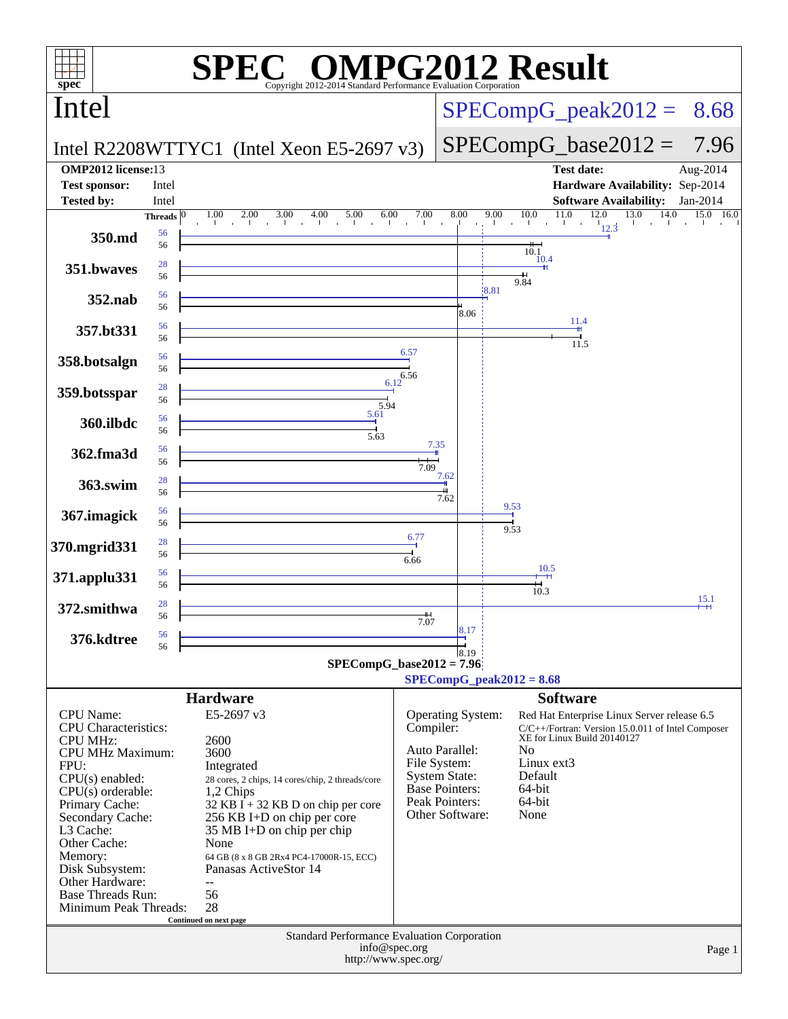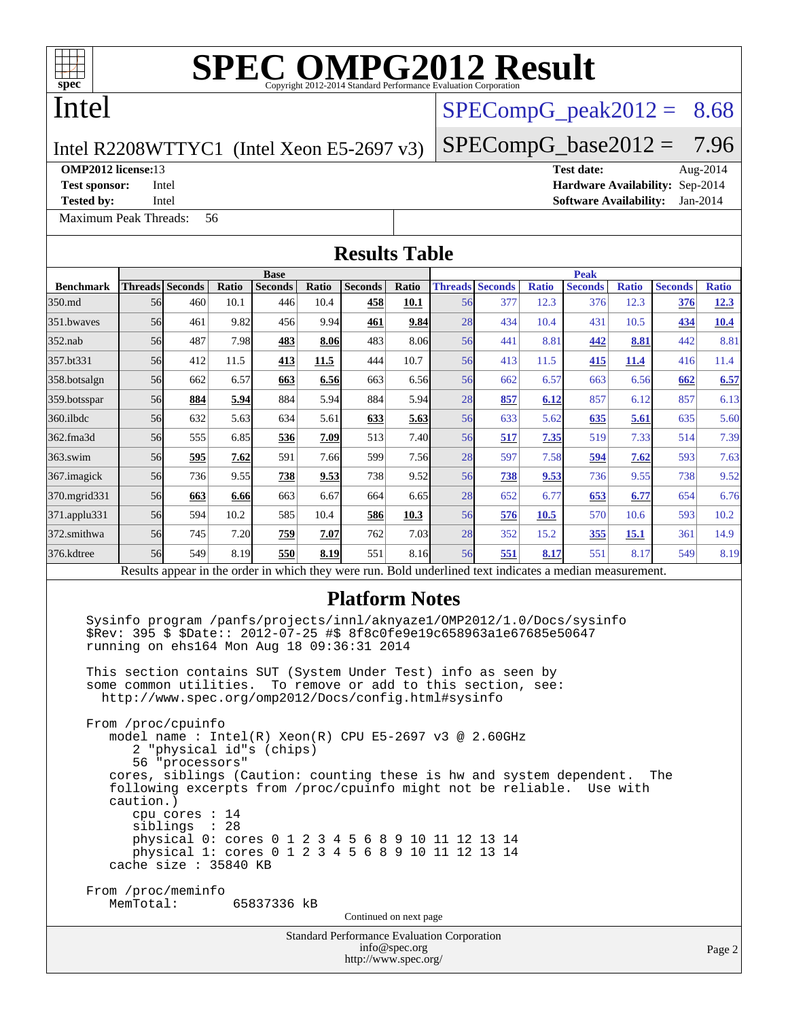

# **[SPEC OMPG2012 Result](http://www.spec.org/auto/omp2012/Docs/result-fields.html#SPECOMPG2012Result)**

# Intel

## $SPECompG<sub>p</sub>eak2012 = 8.68$

 $SPECompG_base2012 = 7.96$  $SPECompG_base2012 = 7.96$ 

### Intel R2208WTTYC1 (Intel Xeon E5-2697 v3)

**[Tested by:](http://www.spec.org/auto/omp2012/Docs/result-fields.html#Testedby)** Intel **[Software Availability:](http://www.spec.org/auto/omp2012/Docs/result-fields.html#SoftwareAvailability)** Jan-2014

[Maximum Peak Threads:](http://www.spec.org/auto/omp2012/Docs/result-fields.html#MaximumPeakThreads) 56

**[OMP2012 license:](http://www.spec.org/auto/omp2012/Docs/result-fields.html#OMP2012license)**13 **[Test date:](http://www.spec.org/auto/omp2012/Docs/result-fields.html#Testdate)** Aug-2014 **[Test sponsor:](http://www.spec.org/auto/omp2012/Docs/result-fields.html#Testsponsor)** Intel **[Hardware Availability:](http://www.spec.org/auto/omp2012/Docs/result-fields.html#HardwareAvailability)** Sep-2014

**[Results Table](http://www.spec.org/auto/omp2012/Docs/result-fields.html#ResultsTable) [Benchmark](http://www.spec.org/auto/omp2012/Docs/result-fields.html#Benchmark) [Threads](http://www.spec.org/auto/omp2012/Docs/result-fields.html#Threads) [Seconds](http://www.spec.org/auto/omp2012/Docs/result-fields.html#Seconds) [Ratio](http://www.spec.org/auto/omp2012/Docs/result-fields.html#Ratio) [Seconds](http://www.spec.org/auto/omp2012/Docs/result-fields.html#Seconds) [Ratio](http://www.spec.org/auto/omp2012/Docs/result-fields.html#Ratio) [Seconds](http://www.spec.org/auto/omp2012/Docs/result-fields.html#Seconds) [Ratio](http://www.spec.org/auto/omp2012/Docs/result-fields.html#Ratio) Base [Threads](http://www.spec.org/auto/omp2012/Docs/result-fields.html#Threads) [Seconds](http://www.spec.org/auto/omp2012/Docs/result-fields.html#Seconds) [Ratio](http://www.spec.org/auto/omp2012/Docs/result-fields.html#Ratio) [Seconds](http://www.spec.org/auto/omp2012/Docs/result-fields.html#Seconds) [Ratio](http://www.spec.org/auto/omp2012/Docs/result-fields.html#Ratio) [Seconds](http://www.spec.org/auto/omp2012/Docs/result-fields.html#Seconds) [Ratio](http://www.spec.org/auto/omp2012/Docs/result-fields.html#Ratio) Peak** [350.md](http://www.spec.org/auto/omp2012/Docs/350.md.html) 56 460 10.1 446 10.4 **[458](http://www.spec.org/auto/omp2012/Docs/result-fields.html#Median) [10.1](http://www.spec.org/auto/omp2012/Docs/result-fields.html#Median)** 56 377 12.3 376 12.3 **[376](http://www.spec.org/auto/omp2012/Docs/result-fields.html#Median) [12.3](http://www.spec.org/auto/omp2012/Docs/result-fields.html#Median)** [351.bwaves](http://www.spec.org/auto/omp2012/Docs/351.bwaves.html) 56 461 9.82 456 9.94 **[461](http://www.spec.org/auto/omp2012/Docs/result-fields.html#Median) [9.84](http://www.spec.org/auto/omp2012/Docs/result-fields.html#Median)** 28 434 10.4 431 10.5 **[434](http://www.spec.org/auto/omp2012/Docs/result-fields.html#Median) [10.4](http://www.spec.org/auto/omp2012/Docs/result-fields.html#Median)** [352.nab](http://www.spec.org/auto/omp2012/Docs/352.nab.html) 56 487 7.98 **[483](http://www.spec.org/auto/omp2012/Docs/result-fields.html#Median) [8.06](http://www.spec.org/auto/omp2012/Docs/result-fields.html#Median)** 483 8.06 56 441 8.81 **[442](http://www.spec.org/auto/omp2012/Docs/result-fields.html#Median) [8.81](http://www.spec.org/auto/omp2012/Docs/result-fields.html#Median)** 442 8.81 [357.bt331](http://www.spec.org/auto/omp2012/Docs/357.bt331.html) 56 412 11.5 **[413](http://www.spec.org/auto/omp2012/Docs/result-fields.html#Median) [11.5](http://www.spec.org/auto/omp2012/Docs/result-fields.html#Median)** 444 10.7 56 413 11.5 **[415](http://www.spec.org/auto/omp2012/Docs/result-fields.html#Median) [11.4](http://www.spec.org/auto/omp2012/Docs/result-fields.html#Median)** 416 11.4 [358.botsalgn](http://www.spec.org/auto/omp2012/Docs/358.botsalgn.html) 56 662 6.57 **[663](http://www.spec.org/auto/omp2012/Docs/result-fields.html#Median) [6.56](http://www.spec.org/auto/omp2012/Docs/result-fields.html#Median)** 663 6.56 56 662 6.57 663 6.56 **[662](http://www.spec.org/auto/omp2012/Docs/result-fields.html#Median) [6.57](http://www.spec.org/auto/omp2012/Docs/result-fields.html#Median)** [359.botsspar](http://www.spec.org/auto/omp2012/Docs/359.botsspar.html) 56 **[884](http://www.spec.org/auto/omp2012/Docs/result-fields.html#Median) [5.94](http://www.spec.org/auto/omp2012/Docs/result-fields.html#Median)** 884 5.94 884 5.94 28 **[857](http://www.spec.org/auto/omp2012/Docs/result-fields.html#Median) [6.12](http://www.spec.org/auto/omp2012/Docs/result-fields.html#Median)** 857 6.12 857 6.13 [360.ilbdc](http://www.spec.org/auto/omp2012/Docs/360.ilbdc.html) 56 632 5.63 634 5.61 **[633](http://www.spec.org/auto/omp2012/Docs/result-fields.html#Median) [5.63](http://www.spec.org/auto/omp2012/Docs/result-fields.html#Median)** 56 633 5.62 **[635](http://www.spec.org/auto/omp2012/Docs/result-fields.html#Median) [5.61](http://www.spec.org/auto/omp2012/Docs/result-fields.html#Median)** 635 5.60 [362.fma3d](http://www.spec.org/auto/omp2012/Docs/362.fma3d.html) 56 555 6.85 **[536](http://www.spec.org/auto/omp2012/Docs/result-fields.html#Median) [7.09](http://www.spec.org/auto/omp2012/Docs/result-fields.html#Median)** 513 7.40 56 **[517](http://www.spec.org/auto/omp2012/Docs/result-fields.html#Median) [7.35](http://www.spec.org/auto/omp2012/Docs/result-fields.html#Median)** 519 7.33 514 7.39 [363.swim](http://www.spec.org/auto/omp2012/Docs/363.swim.html) 56 **[595](http://www.spec.org/auto/omp2012/Docs/result-fields.html#Median) [7.62](http://www.spec.org/auto/omp2012/Docs/result-fields.html#Median)** 591 7.66 599 7.56 28 597 7.58 **[594](http://www.spec.org/auto/omp2012/Docs/result-fields.html#Median) [7.62](http://www.spec.org/auto/omp2012/Docs/result-fields.html#Median)** 593 7.63 [367.imagick](http://www.spec.org/auto/omp2012/Docs/367.imagick.html) 56 736 9.55 **[738](http://www.spec.org/auto/omp2012/Docs/result-fields.html#Median) [9.53](http://www.spec.org/auto/omp2012/Docs/result-fields.html#Median)** 738 9.52 56 **[738](http://www.spec.org/auto/omp2012/Docs/result-fields.html#Median) [9.53](http://www.spec.org/auto/omp2012/Docs/result-fields.html#Median)** 736 9.55 738 9.52 [370.mgrid331](http://www.spec.org/auto/omp2012/Docs/370.mgrid331.html) 56 **[663](http://www.spec.org/auto/omp2012/Docs/result-fields.html#Median) [6.66](http://www.spec.org/auto/omp2012/Docs/result-fields.html#Median)** 663 6.67 664 6.65 28 652 6.77 **[653](http://www.spec.org/auto/omp2012/Docs/result-fields.html#Median) [6.77](http://www.spec.org/auto/omp2012/Docs/result-fields.html#Median)** 654 6.76 [371.applu331](http://www.spec.org/auto/omp2012/Docs/371.applu331.html) 56 594 10.2 585 10.4 **[586](http://www.spec.org/auto/omp2012/Docs/result-fields.html#Median) [10.3](http://www.spec.org/auto/omp2012/Docs/result-fields.html#Median)** 56 **[576](http://www.spec.org/auto/omp2012/Docs/result-fields.html#Median) [10.5](http://www.spec.org/auto/omp2012/Docs/result-fields.html#Median)** 570 10.6 593 10.2 [372.smithwa](http://www.spec.org/auto/omp2012/Docs/372.smithwa.html) 56 745 7.20 **[759](http://www.spec.org/auto/omp2012/Docs/result-fields.html#Median) [7.07](http://www.spec.org/auto/omp2012/Docs/result-fields.html#Median)** 762 7.03 28 352 15.2 **[355](http://www.spec.org/auto/omp2012/Docs/result-fields.html#Median) [15.1](http://www.spec.org/auto/omp2012/Docs/result-fields.html#Median)** 361 14.9 [376.kdtree](http://www.spec.org/auto/omp2012/Docs/376.kdtree.html) 56 549 8.19 **[550](http://www.spec.org/auto/omp2012/Docs/result-fields.html#Median) [8.19](http://www.spec.org/auto/omp2012/Docs/result-fields.html#Median)** 551 8.16 56 **[551](http://www.spec.org/auto/omp2012/Docs/result-fields.html#Median) [8.17](http://www.spec.org/auto/omp2012/Docs/result-fields.html#Median)** 551 8.17 549 8.19 Results appear in the [order in which they were run.](http://www.spec.org/auto/omp2012/Docs/result-fields.html#RunOrder) Bold underlined text [indicates a median measurement.](http://www.spec.org/auto/omp2012/Docs/result-fields.html#Median) **[Platform Notes](http://www.spec.org/auto/omp2012/Docs/result-fields.html#PlatformNotes)** Sysinfo program /panfs/projects/innl/aknyaze1/OMP2012/1.0/Docs/sysinfo \$Rev: 395 \$ \$Date:: 2012-07-25 #\$ 8f8c0fe9e19c658963a1e67685e50647 running on ehs164 Mon Aug 18 09:36:31 2014 This section contains SUT (System Under Test) info as seen by some common utilities. To remove or add to this section, see: <http://www.spec.org/omp2012/Docs/config.html#sysinfo> From /proc/cpuinfo model name : Intel(R) Xeon(R) CPU E5-2697 v3 @ 2.60GHz 2 "physical id"s (chips) 56 "processors" cores, siblings (Caution: counting these is hw and system dependent. The

 following excerpts from /proc/cpuinfo might not be reliable. Use with caution.) cpu cores : 14 siblings : 28 physical 0: cores 0 1 2 3 4 5 6 8 9 10 11 12 13 14 physical 1: cores 0 1 2 3 4 5 6 8 9 10 11 12 13 14 cache size : 35840 KB

From /proc/meminfo<br>MemTotal: 65837336 kB

Continued on next page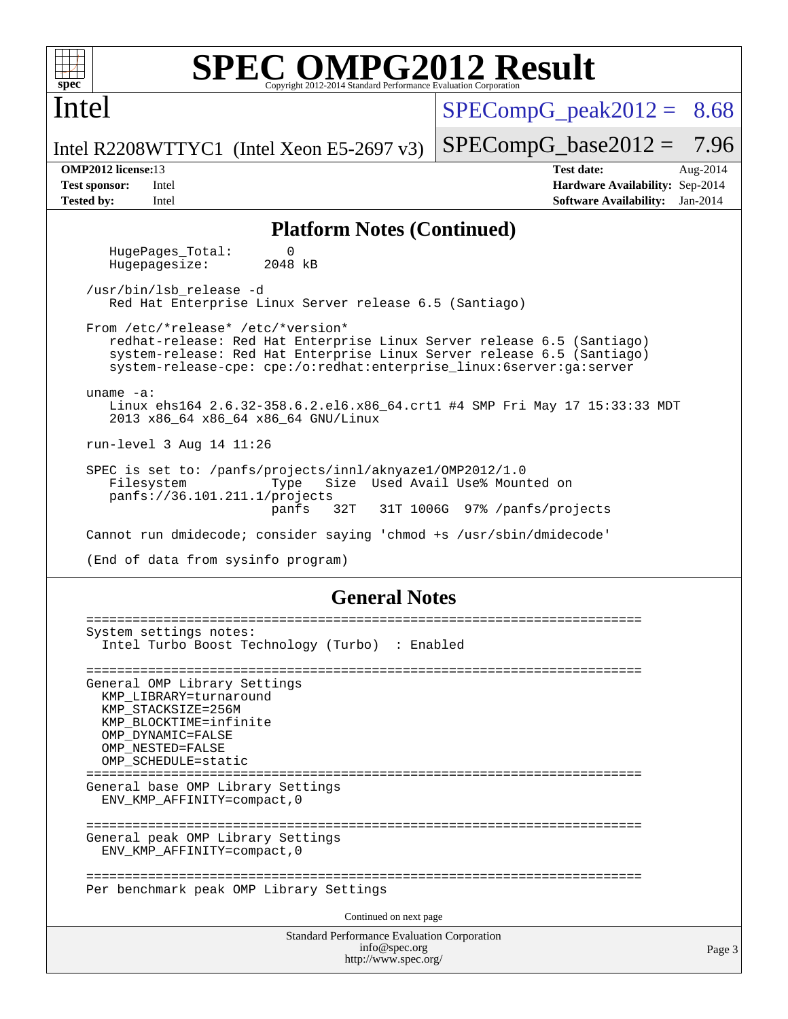

Intel

# **[SPEC OMPG2012 Result](http://www.spec.org/auto/omp2012/Docs/result-fields.html#SPECOMPG2012Result)**

 $SPECompG<sub>peak2012</sub> = 8.68$ 

 $SPECompG_base2012 = 7.96$  $SPECompG_base2012 = 7.96$ 

Intel R2208WTTYC1 (Intel Xeon E5-2697 v3)

**[OMP2012 license:](http://www.spec.org/auto/omp2012/Docs/result-fields.html#OMP2012license)**13 **[Test date:](http://www.spec.org/auto/omp2012/Docs/result-fields.html#Testdate)** Aug-2014 **[Test sponsor:](http://www.spec.org/auto/omp2012/Docs/result-fields.html#Testsponsor)** Intel **[Hardware Availability:](http://www.spec.org/auto/omp2012/Docs/result-fields.html#HardwareAvailability)** Sep-2014 **[Tested by:](http://www.spec.org/auto/omp2012/Docs/result-fields.html#Testedby)** Intel **[Software Availability:](http://www.spec.org/auto/omp2012/Docs/result-fields.html#SoftwareAvailability)** Jan-2014

### **[Platform Notes \(Continued\)](http://www.spec.org/auto/omp2012/Docs/result-fields.html#PlatformNotes)**

HugePages\_Total: 0<br>Hugepagesize: 2048 kB Hugepagesize:

 /usr/bin/lsb\_release -d Red Hat Enterprise Linux Server release 6.5 (Santiago)

 From /etc/\*release\* /etc/\*version\* redhat-release: Red Hat Enterprise Linux Server release 6.5 (Santiago) system-release: Red Hat Enterprise Linux Server release 6.5 (Santiago) system-release-cpe: cpe:/o:redhat:enterprise\_linux:6server:ga:server

 uname -a: Linux ehs164 2.6.32-358.6.2.el6.x86\_64.crt1 #4 SMP Fri May 17 15:33:33 MDT 2013 x86\_64 x86\_64 x86\_64 GNU/Linux

run-level 3 Aug 14 11:26

 SPEC is set to: /panfs/projects/innl/aknyaze1/OMP2012/1.0 Filesystem Type Size Used Avail Use% Mounted on panfs://36.101.211.1/projects panfs 32T 31T 1006G 97% /panfs/projects

Cannot run dmidecode; consider saying 'chmod +s /usr/sbin/dmidecode'

(End of data from sysinfo program)

### **[General Notes](http://www.spec.org/auto/omp2012/Docs/result-fields.html#GeneralNotes)**

```
Standard Performance Evaluation Corporation
                                     info@spec.org
                                   http://www.spec.org/
========================================================================
System settings notes:
  Intel Turbo Boost Technology (Turbo) : Enabled
========================================================================
General OMP Library Settings
  KMP_LIBRARY=turnaround
  KMP_STACKSIZE=256M
  KMP_BLOCKTIME=infinite
  OMP_DYNAMIC=FALSE
  OMP_NESTED=FALSE
  OMP_SCHEDULE=static
========================================================================
General base OMP Library Settings
  ENV_KMP_AFFINITY=compact,0
========================================================================
General peak OMP Library Settings
  ENV_KMP_AFFINITY=compact,0
========================================================================
Per benchmark peak OMP Library Settings
                                   Continued on next page
```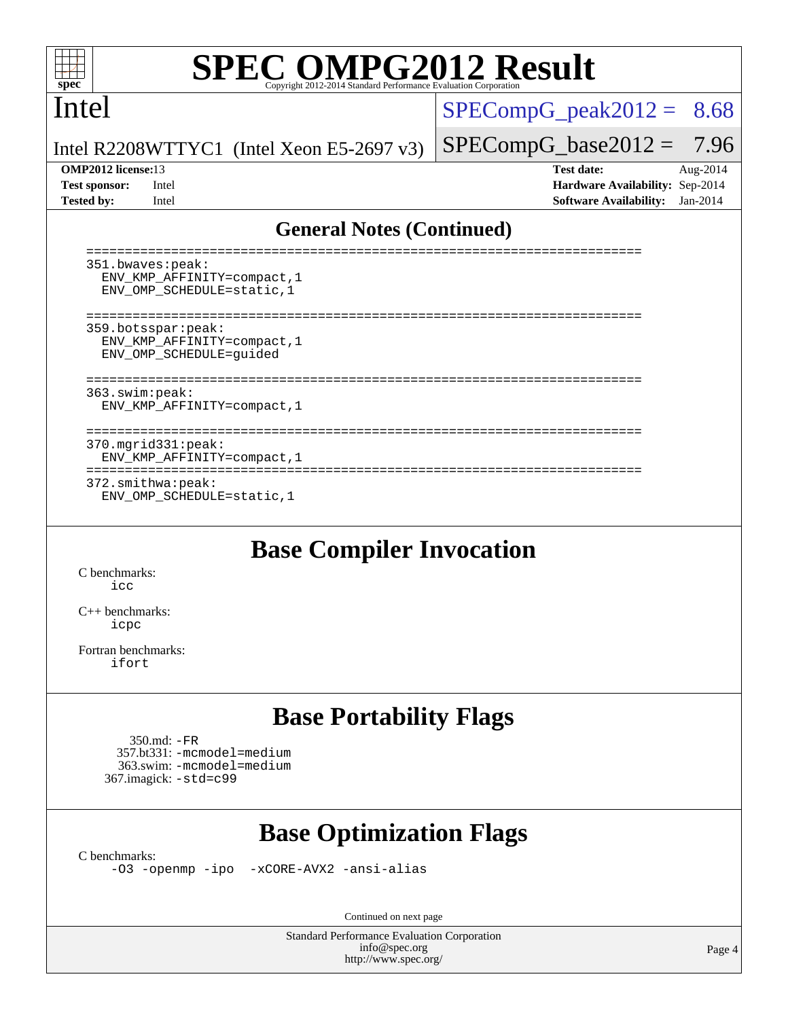

# **[SPEC OMPG2012 Result](http://www.spec.org/auto/omp2012/Docs/result-fields.html#SPECOMPG2012Result)**

## Intel

 $SPECompG_peak2012 = 8.68$  $SPECompG_peak2012 = 8.68$ 

Intel R2208WTTYC1 (Intel Xeon E5-2697 v3)

**[Tested by:](http://www.spec.org/auto/omp2012/Docs/result-fields.html#Testedby)** Intel **[Software Availability:](http://www.spec.org/auto/omp2012/Docs/result-fields.html#SoftwareAvailability)** Jan-2014

 $SPECompG_base2012 = 7.96$  $SPECompG_base2012 = 7.96$ **[OMP2012 license:](http://www.spec.org/auto/omp2012/Docs/result-fields.html#OMP2012license)**13 **[Test date:](http://www.spec.org/auto/omp2012/Docs/result-fields.html#Testdate)** Aug-2014 **[Test sponsor:](http://www.spec.org/auto/omp2012/Docs/result-fields.html#Testsponsor)** Intel **[Hardware Availability:](http://www.spec.org/auto/omp2012/Docs/result-fields.html#HardwareAvailability)** Sep-2014

### **[General Notes \(Continued\)](http://www.spec.org/auto/omp2012/Docs/result-fields.html#GeneralNotes)**

| 351.bwaves:peak:<br>ENV KMP AFFINITY=compact, 1<br>ENV OMP_SCHEDULE=static, 1 |  |
|-------------------------------------------------------------------------------|--|
| 359.botsspar:peak:<br>ENV KMP AFFINITY=compact, 1<br>ENV OMP SCHEDULE=quided  |  |
| 363.swim:peak:<br>ENV KMP AFFINITY=compact, 1                                 |  |
| $370.\text{mgrid}331:\text{peak}:$<br>ENV KMP AFFINITY=compact, 1             |  |
| 372.smithwa:peak:<br>ENV OMP SCHEDULE=static, 1                               |  |

## **[Base Compiler Invocation](http://www.spec.org/auto/omp2012/Docs/result-fields.html#BaseCompilerInvocation)**

[C benchmarks](http://www.spec.org/auto/omp2012/Docs/result-fields.html#Cbenchmarks): [icc](http://www.spec.org/omp2012/results/res2014q3/omp2012-20140819-00056.flags.html#user_CCbase_intel_icc_a87c68a857bc5ec5362391a49d3a37a6)

[C++ benchmarks:](http://www.spec.org/auto/omp2012/Docs/result-fields.html#CXXbenchmarks) [icpc](http://www.spec.org/omp2012/results/res2014q3/omp2012-20140819-00056.flags.html#user_CXXbase_intel_icpc_2d899f8d163502b12eb4a60069f80c1c)

[Fortran benchmarks](http://www.spec.org/auto/omp2012/Docs/result-fields.html#Fortranbenchmarks): [ifort](http://www.spec.org/omp2012/results/res2014q3/omp2012-20140819-00056.flags.html#user_FCbase_intel_ifort_8a5e5e06b19a251bdeaf8fdab5d62f20)

# **[Base Portability Flags](http://www.spec.org/auto/omp2012/Docs/result-fields.html#BasePortabilityFlags)**

```
 350.md: -FR
 357.bt331: -mcmodel=medium
  363.swim: -mcmodel=medium
367.imagick: -std=c99
```
# **[Base Optimization Flags](http://www.spec.org/auto/omp2012/Docs/result-fields.html#BaseOptimizationFlags)**

[C benchmarks](http://www.spec.org/auto/omp2012/Docs/result-fields.html#Cbenchmarks):

[-O3](http://www.spec.org/omp2012/results/res2014q3/omp2012-20140819-00056.flags.html#user_CCbase_f-O3) [-openmp](http://www.spec.org/omp2012/results/res2014q3/omp2012-20140819-00056.flags.html#user_CCbase_f-openmp) [-ipo](http://www.spec.org/omp2012/results/res2014q3/omp2012-20140819-00056.flags.html#user_CCbase_f-ipo_84062ab53814f613187d02344b8f49a7) [-xCORE-AVX2](http://www.spec.org/omp2012/results/res2014q3/omp2012-20140819-00056.flags.html#user_CCbase_f-xCORE-AVX2) [-ansi-alias](http://www.spec.org/omp2012/results/res2014q3/omp2012-20140819-00056.flags.html#user_CCbase_f-ansi-alias)

Continued on next page

Standard Performance Evaluation Corporation [info@spec.org](mailto:info@spec.org) <http://www.spec.org/>

Page 4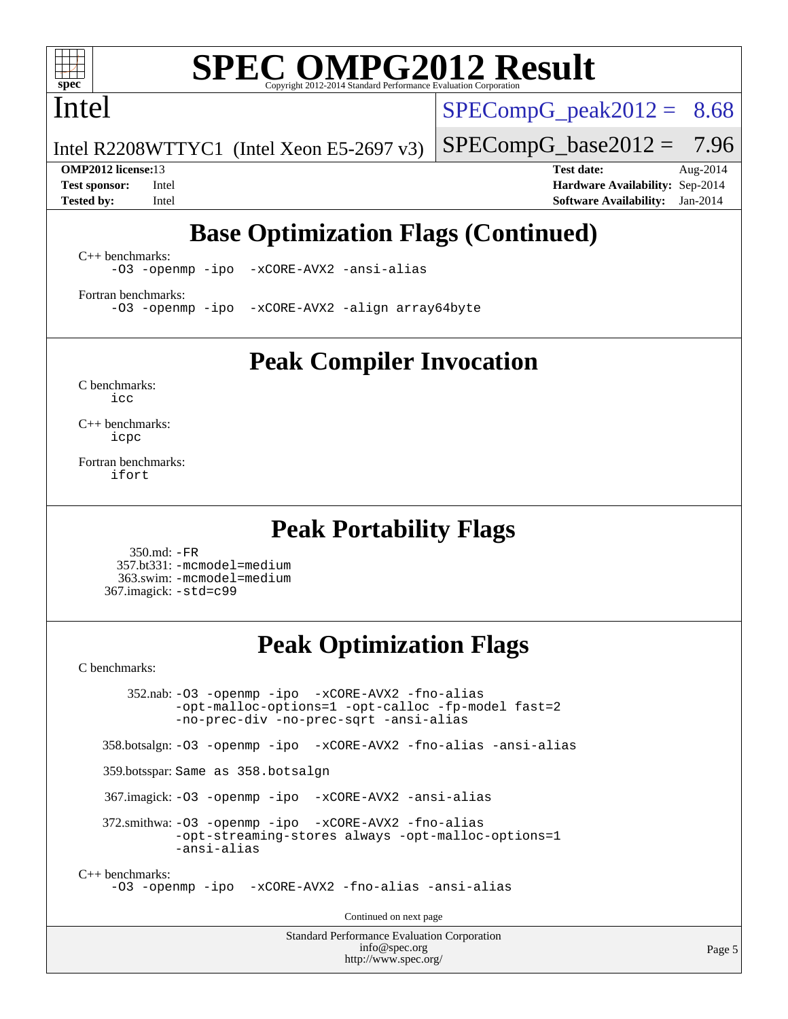

# **[SPEC OMPG2012 Result](http://www.spec.org/auto/omp2012/Docs/result-fields.html#SPECOMPG2012Result)**

Intel

 $SPECompG<sub>peak2012</sub> = 8.68$ 

 $SPECompG_base2012 = 7.96$  $SPECompG_base2012 = 7.96$ 

Intel R2208WTTYC1 (Intel Xeon E5-2697 v3)

**[OMP2012 license:](http://www.spec.org/auto/omp2012/Docs/result-fields.html#OMP2012license)**13 **[Test date:](http://www.spec.org/auto/omp2012/Docs/result-fields.html#Testdate)** Aug-2014 **[Test sponsor:](http://www.spec.org/auto/omp2012/Docs/result-fields.html#Testsponsor)** Intel **[Hardware Availability:](http://www.spec.org/auto/omp2012/Docs/result-fields.html#HardwareAvailability)** Sep-2014 **[Tested by:](http://www.spec.org/auto/omp2012/Docs/result-fields.html#Testedby)** Intel **[Software Availability:](http://www.spec.org/auto/omp2012/Docs/result-fields.html#SoftwareAvailability)** Jan-2014

# **[Base Optimization Flags \(Continued\)](http://www.spec.org/auto/omp2012/Docs/result-fields.html#BaseOptimizationFlags)**

[C++ benchmarks:](http://www.spec.org/auto/omp2012/Docs/result-fields.html#CXXbenchmarks)

[-O3](http://www.spec.org/omp2012/results/res2014q3/omp2012-20140819-00056.flags.html#user_CXXbase_f-O3) [-openmp](http://www.spec.org/omp2012/results/res2014q3/omp2012-20140819-00056.flags.html#user_CXXbase_f-openmp) [-ipo](http://www.spec.org/omp2012/results/res2014q3/omp2012-20140819-00056.flags.html#user_CXXbase_f-ipo_84062ab53814f613187d02344b8f49a7) [-xCORE-AVX2](http://www.spec.org/omp2012/results/res2014q3/omp2012-20140819-00056.flags.html#user_CXXbase_f-xCORE-AVX2) [-ansi-alias](http://www.spec.org/omp2012/results/res2014q3/omp2012-20140819-00056.flags.html#user_CXXbase_f-ansi-alias)

[Fortran benchmarks](http://www.spec.org/auto/omp2012/Docs/result-fields.html#Fortranbenchmarks): [-O3](http://www.spec.org/omp2012/results/res2014q3/omp2012-20140819-00056.flags.html#user_FCbase_f-O3) [-openmp](http://www.spec.org/omp2012/results/res2014q3/omp2012-20140819-00056.flags.html#user_FCbase_f-openmp) [-ipo](http://www.spec.org/omp2012/results/res2014q3/omp2012-20140819-00056.flags.html#user_FCbase_f-ipo_84062ab53814f613187d02344b8f49a7) [-xCORE-AVX2](http://www.spec.org/omp2012/results/res2014q3/omp2012-20140819-00056.flags.html#user_FCbase_f-xCORE-AVX2) [-align array64byte](http://www.spec.org/omp2012/results/res2014q3/omp2012-20140819-00056.flags.html#user_FCbase_f-align_c9377f996e966d652baaf753401d4725)

**[Peak Compiler Invocation](http://www.spec.org/auto/omp2012/Docs/result-fields.html#PeakCompilerInvocation)**

[C benchmarks](http://www.spec.org/auto/omp2012/Docs/result-fields.html#Cbenchmarks): [icc](http://www.spec.org/omp2012/results/res2014q3/omp2012-20140819-00056.flags.html#user_CCpeak_intel_icc_a87c68a857bc5ec5362391a49d3a37a6)

[C++ benchmarks:](http://www.spec.org/auto/omp2012/Docs/result-fields.html#CXXbenchmarks) [icpc](http://www.spec.org/omp2012/results/res2014q3/omp2012-20140819-00056.flags.html#user_CXXpeak_intel_icpc_2d899f8d163502b12eb4a60069f80c1c)

[Fortran benchmarks](http://www.spec.org/auto/omp2012/Docs/result-fields.html#Fortranbenchmarks): [ifort](http://www.spec.org/omp2012/results/res2014q3/omp2012-20140819-00056.flags.html#user_FCpeak_intel_ifort_8a5e5e06b19a251bdeaf8fdab5d62f20)

## **[Peak Portability Flags](http://www.spec.org/auto/omp2012/Docs/result-fields.html#PeakPortabilityFlags)**

 350.md: [-FR](http://www.spec.org/omp2012/results/res2014q3/omp2012-20140819-00056.flags.html#user_peakFPORTABILITY350_md_f-FR) 357.bt331: [-mcmodel=medium](http://www.spec.org/omp2012/results/res2014q3/omp2012-20140819-00056.flags.html#user_peakPORTABILITY357_bt331_f-mcmodel_3a41622424bdd074c4f0f2d2f224c7e5) 363.swim: [-mcmodel=medium](http://www.spec.org/omp2012/results/res2014q3/omp2012-20140819-00056.flags.html#user_peakPORTABILITY363_swim_f-mcmodel_3a41622424bdd074c4f0f2d2f224c7e5) 367.imagick: [-std=c99](http://www.spec.org/omp2012/results/res2014q3/omp2012-20140819-00056.flags.html#user_peakCPORTABILITY367_imagick_f-std_2ec6533b6e06f1c4a6c9b78d9e9cde24)

## **[Peak Optimization Flags](http://www.spec.org/auto/omp2012/Docs/result-fields.html#PeakOptimizationFlags)**

[C benchmarks](http://www.spec.org/auto/omp2012/Docs/result-fields.html#Cbenchmarks):

 352.nab: [-O3](http://www.spec.org/omp2012/results/res2014q3/omp2012-20140819-00056.flags.html#user_peakOPTIMIZE352_nab_f-O3) [-openmp](http://www.spec.org/omp2012/results/res2014q3/omp2012-20140819-00056.flags.html#user_peakOPTIMIZE352_nab_f-openmp) [-ipo](http://www.spec.org/omp2012/results/res2014q3/omp2012-20140819-00056.flags.html#user_peakOPTIMIZE352_nab_f-ipo_84062ab53814f613187d02344b8f49a7) [-xCORE-AVX2](http://www.spec.org/omp2012/results/res2014q3/omp2012-20140819-00056.flags.html#user_peakOPTIMIZE352_nab_f-xCORE-AVX2) [-fno-alias](http://www.spec.org/omp2012/results/res2014q3/omp2012-20140819-00056.flags.html#user_peakOPTIMIZE352_nab_f-no-alias_694e77f6c5a51e658e82ccff53a9e63a) [-opt-malloc-options=1](http://www.spec.org/omp2012/results/res2014q3/omp2012-20140819-00056.flags.html#user_peakOPTIMIZE352_nab_f-opt-malloc-options_d882ffc6ff87e51efe45f9a5190004b0) [-opt-calloc](http://www.spec.org/omp2012/results/res2014q3/omp2012-20140819-00056.flags.html#user_peakOPTIMIZE352_nab_f-opt-calloc) [-fp-model fast=2](http://www.spec.org/omp2012/results/res2014q3/omp2012-20140819-00056.flags.html#user_peakOPTIMIZE352_nab_f-fp-model_a7fb8ccb7275e23f0079632c153cfcab) [-no-prec-div](http://www.spec.org/omp2012/results/res2014q3/omp2012-20140819-00056.flags.html#user_peakOPTIMIZE352_nab_f-no-prec-div) [-no-prec-sqrt](http://www.spec.org/omp2012/results/res2014q3/omp2012-20140819-00056.flags.html#user_peakOPTIMIZE352_nab_f-no-prec-sqrt) [-ansi-alias](http://www.spec.org/omp2012/results/res2014q3/omp2012-20140819-00056.flags.html#user_peakCOPTIMIZE352_nab_f-ansi-alias) 358.botsalgn: [-O3](http://www.spec.org/omp2012/results/res2014q3/omp2012-20140819-00056.flags.html#user_peakOPTIMIZE358_botsalgn_f-O3) [-openmp](http://www.spec.org/omp2012/results/res2014q3/omp2012-20140819-00056.flags.html#user_peakOPTIMIZE358_botsalgn_f-openmp) [-ipo](http://www.spec.org/omp2012/results/res2014q3/omp2012-20140819-00056.flags.html#user_peakOPTIMIZE358_botsalgn_f-ipo_84062ab53814f613187d02344b8f49a7) [-xCORE-AVX2](http://www.spec.org/omp2012/results/res2014q3/omp2012-20140819-00056.flags.html#user_peakOPTIMIZE358_botsalgn_f-xCORE-AVX2) [-fno-alias](http://www.spec.org/omp2012/results/res2014q3/omp2012-20140819-00056.flags.html#user_peakOPTIMIZE358_botsalgn_f-no-alias_694e77f6c5a51e658e82ccff53a9e63a) [-ansi-alias](http://www.spec.org/omp2012/results/res2014q3/omp2012-20140819-00056.flags.html#user_peakCOPTIMIZE358_botsalgn_f-ansi-alias) 359.botsspar: Same as 358.botsalgn 367.imagick: [-O3](http://www.spec.org/omp2012/results/res2014q3/omp2012-20140819-00056.flags.html#user_peakOPTIMIZE367_imagick_f-O3) [-openmp](http://www.spec.org/omp2012/results/res2014q3/omp2012-20140819-00056.flags.html#user_peakOPTIMIZE367_imagick_f-openmp) [-ipo](http://www.spec.org/omp2012/results/res2014q3/omp2012-20140819-00056.flags.html#user_peakOPTIMIZE367_imagick_f-ipo_84062ab53814f613187d02344b8f49a7) [-xCORE-AVX2](http://www.spec.org/omp2012/results/res2014q3/omp2012-20140819-00056.flags.html#user_peakOPTIMIZE367_imagick_f-xCORE-AVX2) [-ansi-alias](http://www.spec.org/omp2012/results/res2014q3/omp2012-20140819-00056.flags.html#user_peakCOPTIMIZE367_imagick_f-ansi-alias) 372.smithwa: [-O3](http://www.spec.org/omp2012/results/res2014q3/omp2012-20140819-00056.flags.html#user_peakOPTIMIZE372_smithwa_f-O3) [-openmp](http://www.spec.org/omp2012/results/res2014q3/omp2012-20140819-00056.flags.html#user_peakOPTIMIZE372_smithwa_f-openmp) [-ipo](http://www.spec.org/omp2012/results/res2014q3/omp2012-20140819-00056.flags.html#user_peakOPTIMIZE372_smithwa_f-ipo_84062ab53814f613187d02344b8f49a7) [-xCORE-AVX2](http://www.spec.org/omp2012/results/res2014q3/omp2012-20140819-00056.flags.html#user_peakOPTIMIZE372_smithwa_f-xCORE-AVX2) [-fno-alias](http://www.spec.org/omp2012/results/res2014q3/omp2012-20140819-00056.flags.html#user_peakOPTIMIZE372_smithwa_f-no-alias_694e77f6c5a51e658e82ccff53a9e63a) [-opt-streaming-stores always](http://www.spec.org/omp2012/results/res2014q3/omp2012-20140819-00056.flags.html#user_peakOPTIMIZE372_smithwa_f-opt-streaming-stores-always_66f55dbc532842151ebc4c82f4f5b019) [-opt-malloc-options=1](http://www.spec.org/omp2012/results/res2014q3/omp2012-20140819-00056.flags.html#user_peakOPTIMIZE372_smithwa_f-opt-malloc-options_d882ffc6ff87e51efe45f9a5190004b0) [-ansi-alias](http://www.spec.org/omp2012/results/res2014q3/omp2012-20140819-00056.flags.html#user_peakCOPTIMIZE372_smithwa_f-ansi-alias) [C++ benchmarks:](http://www.spec.org/auto/omp2012/Docs/result-fields.html#CXXbenchmarks) [-O3](http://www.spec.org/omp2012/results/res2014q3/omp2012-20140819-00056.flags.html#user_CXXpeak_f-O3) [-openmp](http://www.spec.org/omp2012/results/res2014q3/omp2012-20140819-00056.flags.html#user_CXXpeak_f-openmp) [-ipo](http://www.spec.org/omp2012/results/res2014q3/omp2012-20140819-00056.flags.html#user_CXXpeak_f-ipo_84062ab53814f613187d02344b8f49a7) [-xCORE-AVX2](http://www.spec.org/omp2012/results/res2014q3/omp2012-20140819-00056.flags.html#user_CXXpeak_f-xCORE-AVX2) [-fno-alias](http://www.spec.org/omp2012/results/res2014q3/omp2012-20140819-00056.flags.html#user_CXXpeak_f-no-alias_694e77f6c5a51e658e82ccff53a9e63a) [-ansi-alias](http://www.spec.org/omp2012/results/res2014q3/omp2012-20140819-00056.flags.html#user_CXXpeak_f-ansi-alias) Continued on next page

> Standard Performance Evaluation Corporation [info@spec.org](mailto:info@spec.org) <http://www.spec.org/>

Page 5